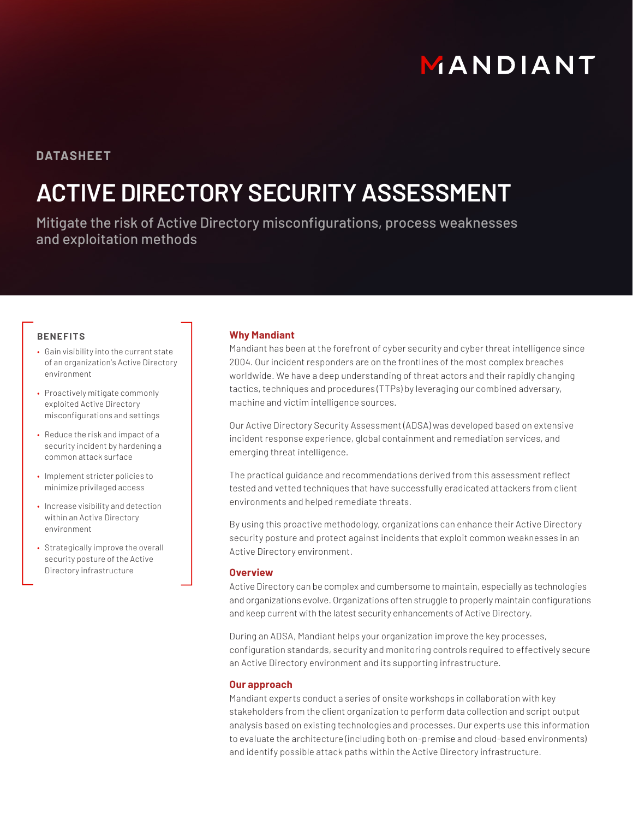# MANDIANT

### **DATASHEET**

## **ACTIVE DIRECTORY SECURITY ASSESSMENT**

Mitigate the risk of Active Directory misconfigurations, process weaknesses and exploitation methods

#### **BENEFITS**

- Gain visibility into the current state of an organization's Active Directory environment
- Proactively mitigate commonly exploited Active Directory misconfigurations and settings
- Reduce the risk and impact of a security incident by hardening a common attack surface
- Implement stricter policies to minimize privileged access
- Increase visibility and detection within an Active Directory environment
- Strategically improve the overall security posture of the Active Directory infrastructure

#### **Why Mandiant**

Mandiant has been at the forefront of cyber security and cyber threat intelligence since 2004. Our incident responders are on the frontlines of the most complex breaches worldwide. We have a deep understanding of threat actors and their rapidly changing tactics, techniques and procedures (TTPs) by leveraging our combined adversary, machine and victim intelligence sources.

Our Active Directory Security Assessment (ADSA) was developed based on extensive incident response experience, global containment and remediation services, and emerging threat intelligence.

The practical guidance and recommendations derived from this assessment reflect tested and vetted techniques that have successfully eradicated attackers from client environments and helped remediate threats.

By using this proactive methodology, organizations can enhance their Active Directory security posture and protect against incidents that exploit common weaknesses in an Active Directory environment.

#### **Overview**

Active Directory can be complex and cumbersome to maintain, especially as technologies and organizations evolve. Organizations often struggle to properly maintain configurations and keep current with the latest security enhancements of Active Directory.

During an ADSA, Mandiant helps your organization improve the key processes, configuration standards, security and monitoring controls required to effectively secure an Active Directory environment and its supporting infrastructure.

#### **Our approach**

Mandiant experts conduct a series of onsite workshops in collaboration with key stakeholders from the client organization to perform data collection and script output analysis based on existing technologies and processes. Our experts use this information to evaluate the architecture (including both on-premise and cloud-based environments) and identify possible attack paths within the Active Directory infrastructure.